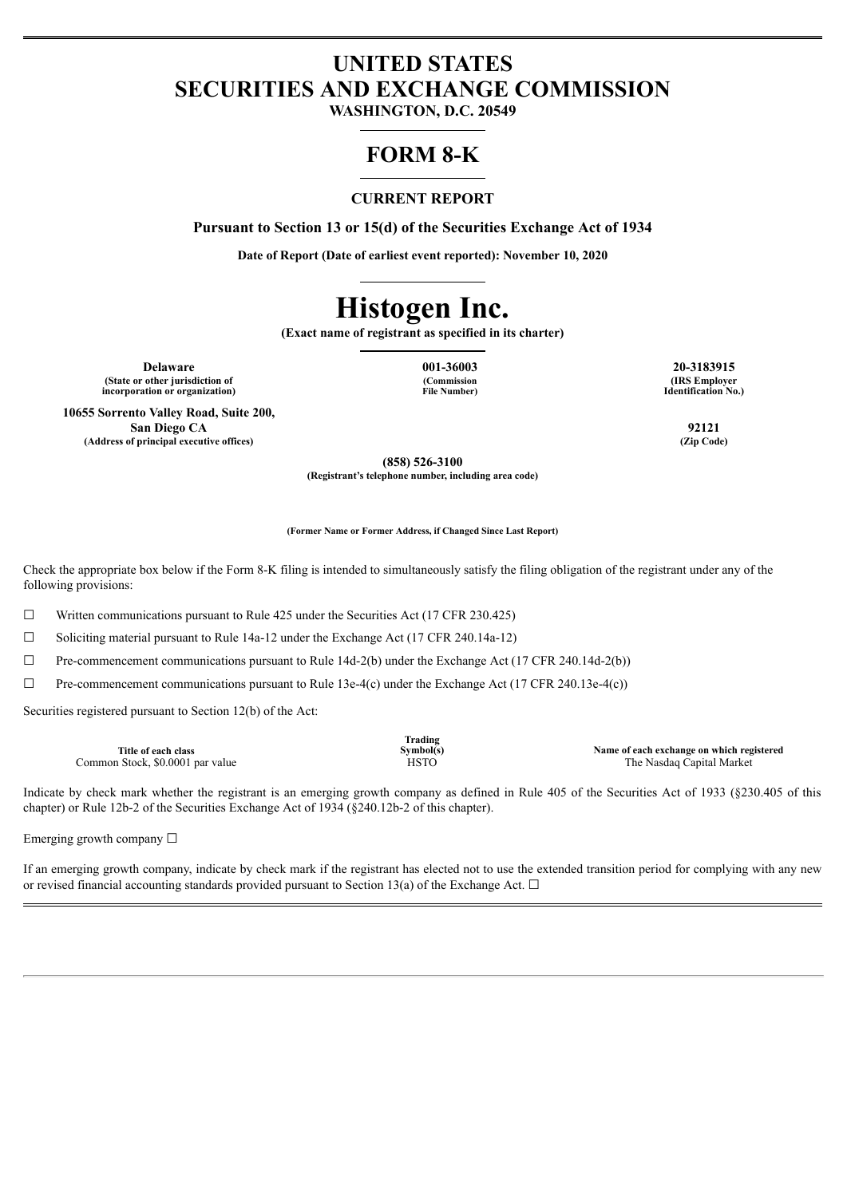# **UNITED STATES SECURITIES AND EXCHANGE COMMISSION**

**WASHINGTON, D.C. 20549**

# **FORM 8-K**

### **CURRENT REPORT**

**Pursuant to Section 13 or 15(d) of the Securities Exchange Act of 1934**

**Date of Report (Date of earliest event reported): November 10, 2020**

# **Histogen Inc.**

**(Exact name of registrant as specified in its charter)**

**Delaware 001-36003 20-3183915 (State or other jurisdiction of incorporation or organization)**

**(Commission File Number)**

**(IRS Employer Identification No.)**

**10655 Sorrento Valley Road, Suite 200, San Diego CA 92121 (Address of principal executive offices) (Zip Code)**

**(858) 526-3100**

**(Registrant's telephone number, including area code)**

**(Former Name or Former Address, if Changed Since Last Report)**

Check the appropriate box below if the Form 8-K filing is intended to simultaneously satisfy the filing obligation of the registrant under any of the following provisions:

 $\Box$  Written communications pursuant to Rule 425 under the Securities Act (17 CFR 230.425)

 $\Box$  Soliciting material pursuant to Rule 14a-12 under the Exchange Act (17 CFR 240.14a-12)

 $\Box$  Pre-commencement communications pursuant to Rule 14d-2(b) under the Exchange Act (17 CFR 240.14d-2(b))

 $\Box$  Pre-commencement communications pursuant to Rule 13e-4(c) under the Exchange Act (17 CFR 240.13e-4(c))

Securities registered pursuant to Section 12(b) of the Act:

|                                  | Trading   |                                           |
|----------------------------------|-----------|-------------------------------------------|
| Title of each class              | Symbol(s) | Name of each exchange on which registered |
| Common Stock, \$0,0001 par value | HSTO      | The Nasdag Capital Market                 |

Indicate by check mark whether the registrant is an emerging growth company as defined in Rule 405 of the Securities Act of 1933 (§230.405 of this chapter) or Rule 12b-2 of the Securities Exchange Act of 1934 (§240.12b-2 of this chapter).

Emerging growth company  $\Box$ 

If an emerging growth company, indicate by check mark if the registrant has elected not to use the extended transition period for complying with any new or revised financial accounting standards provided pursuant to Section 13(a) of the Exchange Act.  $\Box$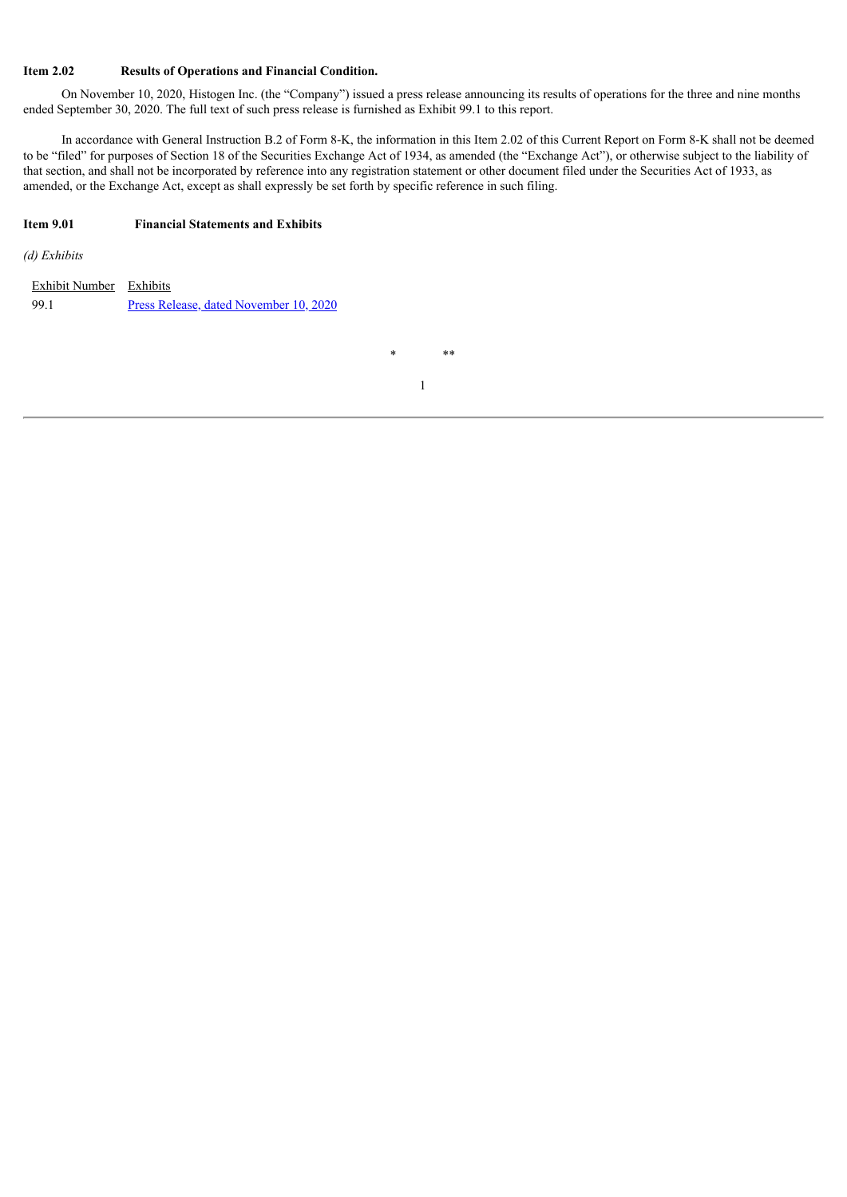#### **Item 2.02 Results of Operations and Financial Condition.**

On November 10, 2020, Histogen Inc. (the "Company") issued a press release announcing its results of operations for the three and nine months ended September 30, 2020. The full text of such press release is furnished as Exhibit 99.1 to this report.

In accordance with General Instruction B.2 of Form 8-K, the information in this Item 2.02 of this Current Report on Form 8-K shall not be deemed to be "filed" for purposes of Section 18 of the Securities Exchange Act of 1934, as amended (the "Exchange Act"), or otherwise subject to the liability of that section, and shall not be incorporated by reference into any registration statement or other document filed under the Securities Act of 1933, as amended, or the Exchange Act, except as shall expressly be set forth by specific reference in such filing.

#### **Item 9.01 Financial Statements and Exhibits**

*(d) Exhibits*

| Exhibit Number Exhibits |                                        |
|-------------------------|----------------------------------------|
| -99.1                   | Press Release, dated November 10, 2020 |

\* \*\*

1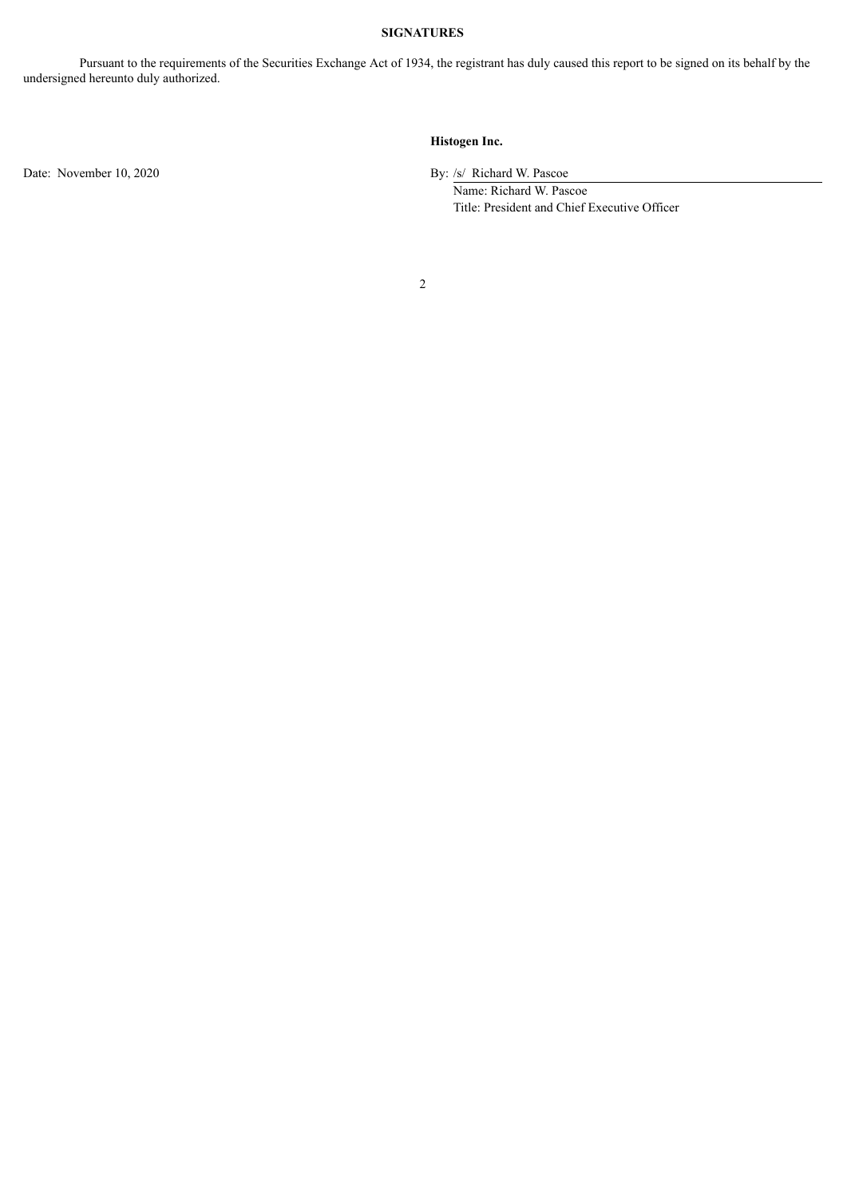#### **SIGNATURES**

Pursuant to the requirements of the Securities Exchange Act of 1934, the registrant has duly caused this report to be signed on its behalf by the undersigned hereunto duly authorized.

## **Histogen Inc.**

Date: November 10, 2020 By: /s/ Richard W. Pascoe

Name: Richard W. Pascoe Title: President and Chief Executive Officer

2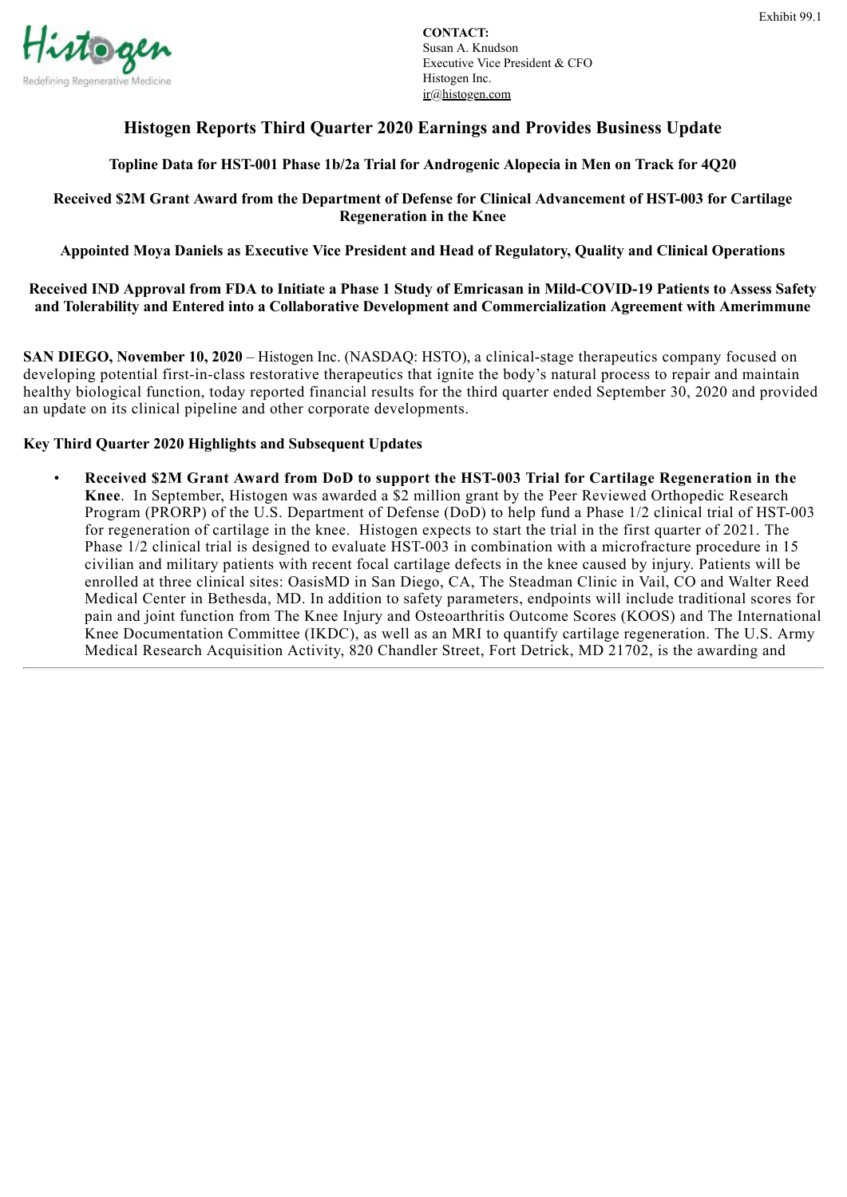<span id="page-3-0"></span>

# **Histogen Reports Third Quarter 2020 Earnings and Provides Business Update**

# **Topline Data for HST-001 Phase 1b/2a Trial for Androgenic Alopecia in Men on Track for 4Q20**

# **Received \$2M Grant Award from the Department of Defense for Clinical Advancement of HST-003 for Cartilage Regeneration in the Knee**

**Appointed Moya Daniels as Executive Vice President and Head of Regulatory, Quality and Clinical Operations**

**Received IND Approval from FDA to Initiate a Phase 1 Study of Emricasan in Mild-COVID-19 Patients to Assess Safety and Tolerability and Entered into a Collaborative Development and Commercialization Agreement with Amerimmune**

**SAN DIEGO, November 10, 2020** – Histogen Inc. (NASDAQ: HSTO), a clinical-stage therapeutics company focused on developing potential first-in-class restorative therapeutics that ignite the body's natural process to repair and maintain healthy biological function, today reported financial results for the third quarter ended September 30, 2020 and provided an update on its clinical pipeline and other corporate developments.

# **Key Third Quarter 2020 Highlights and Subsequent Updates**

• **Received \$2M Grant Award from DoD to support the HST-003 Trial for Cartilage Regeneration in the Knee**. In September, Histogen was awarded a \$2 million grant by the Peer Reviewed Orthopedic Research Program (PRORP) of the U.S. Department of Defense (DoD) to help fund a Phase 1/2 clinical trial of HST-003 for regeneration of cartilage in the knee. Histogen expects to start the trial in the first quarter of 2021. The Phase 1/2 clinical trial is designed to evaluate HST-003 in combination with a microfracture procedure in 15 civilian and military patients with recent focal cartilage defects in the knee caused by injury. Patients will be enrolled at three clinical sites: OasisMD in San Diego, CA, The Steadman Clinic in Vail, CO and Walter Reed Medical Center in Bethesda, MD. In addition to safety parameters, endpoints will include traditional scores for pain and joint function from The Knee Injury and Osteoarthritis Outcome Scores (KOOS) and The International Knee Documentation Committee (IKDC), as well as an MRI to quantify cartilage regeneration. The U.S. Army Medical Research Acquisition Activity, 820 Chandler Street, Fort Detrick, MD 21702, is the awarding and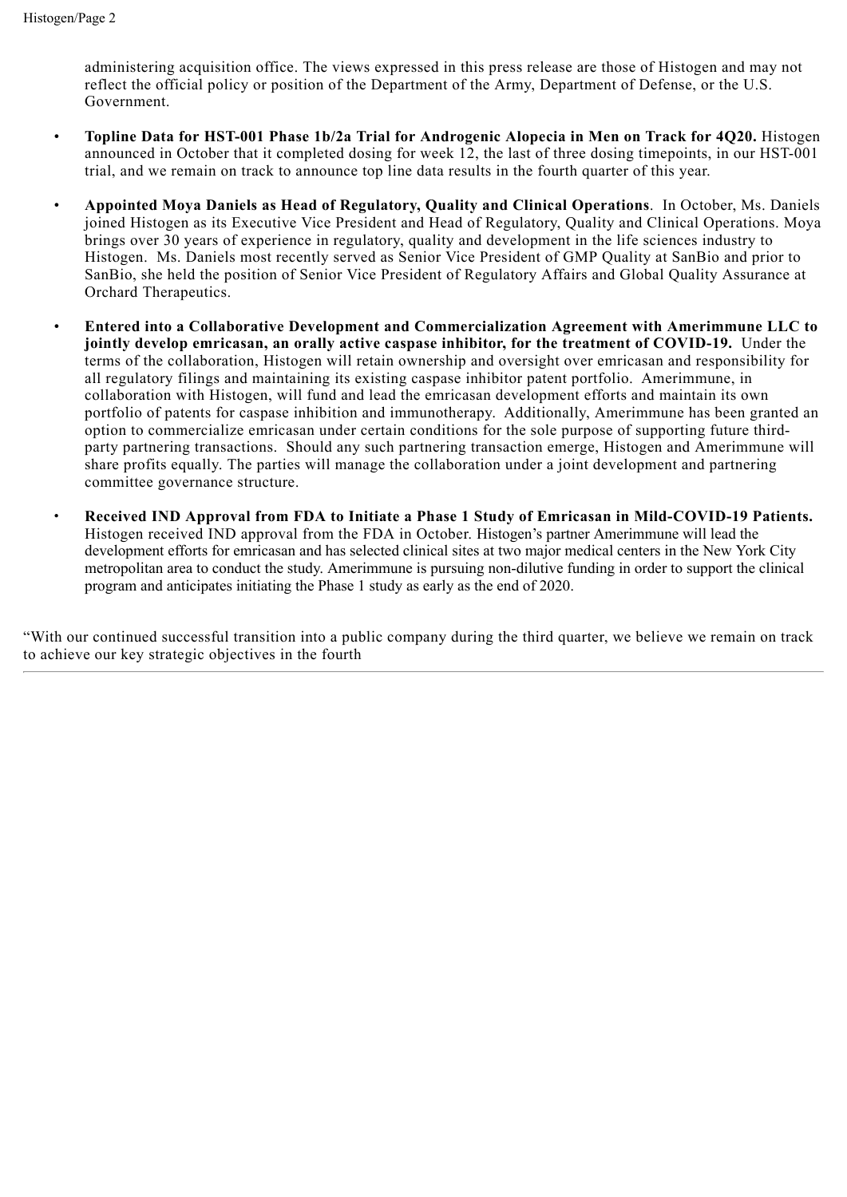administering acquisition office. The views expressed in this press release are those of Histogen and may not reflect the official policy or position of the Department of the Army, Department of Defense, or the U.S. Government.

- **Topline Data for HST-001 Phase 1b/2a Trial for Androgenic Alopecia in Men on Track for 4Q20.** Histogen announced in October that it completed dosing for week 12, the last of three dosing timepoints, in our HST-001 trial, and we remain on track to announce top line data results in the fourth quarter of this year.
- **Appointed Moya Daniels as Head of Regulatory, Quality and Clinical Operations**. In October, Ms. Daniels joined Histogen as its Executive Vice President and Head of Regulatory, Quality and Clinical Operations. Moya brings over 30 years of experience in regulatory, quality and development in the life sciences industry to Histogen. Ms. Daniels most recently served as Senior Vice President of GMP Quality at SanBio and prior to SanBio, she held the position of Senior Vice President of Regulatory Affairs and Global Quality Assurance at Orchard Therapeutics.
- **Entered into a Collaborative Development and Commercialization Agreement with Amerimmune LLC to jointly develop emricasan, an orally active caspase inhibitor, for the treatment of COVID-19.** Under the terms of the collaboration, Histogen will retain ownership and oversight over emricasan and responsibility for all regulatory filings and maintaining its existing caspase inhibitor patent portfolio. Amerimmune, in collaboration with Histogen, will fund and lead the emricasan development efforts and maintain its own portfolio of patents for caspase inhibition and immunotherapy. Additionally, Amerimmune has been granted an option to commercialize emricasan under certain conditions for the sole purpose of supporting future thirdparty partnering transactions. Should any such partnering transaction emerge, Histogen and Amerimmune will share profits equally. The parties will manage the collaboration under a joint development and partnering committee governance structure.
- **Received IND Approval from FDA to Initiate a Phase 1 Study of Emricasan in Mild-COVID-19 Patients.** Histogen received IND approval from the FDA in October. Histogen's partner Amerimmune will lead the development efforts for emricasan and has selected clinical sites at two major medical centers in the New York City metropolitan area to conduct the study. Amerimmune is pursuing non-dilutive funding in order to support the clinical program and anticipates initiating the Phase 1 study as early as the end of 2020.

"With our continued successful transition into a public company during the third quarter, we believe we remain on track to achieve our key strategic objectives in the fourth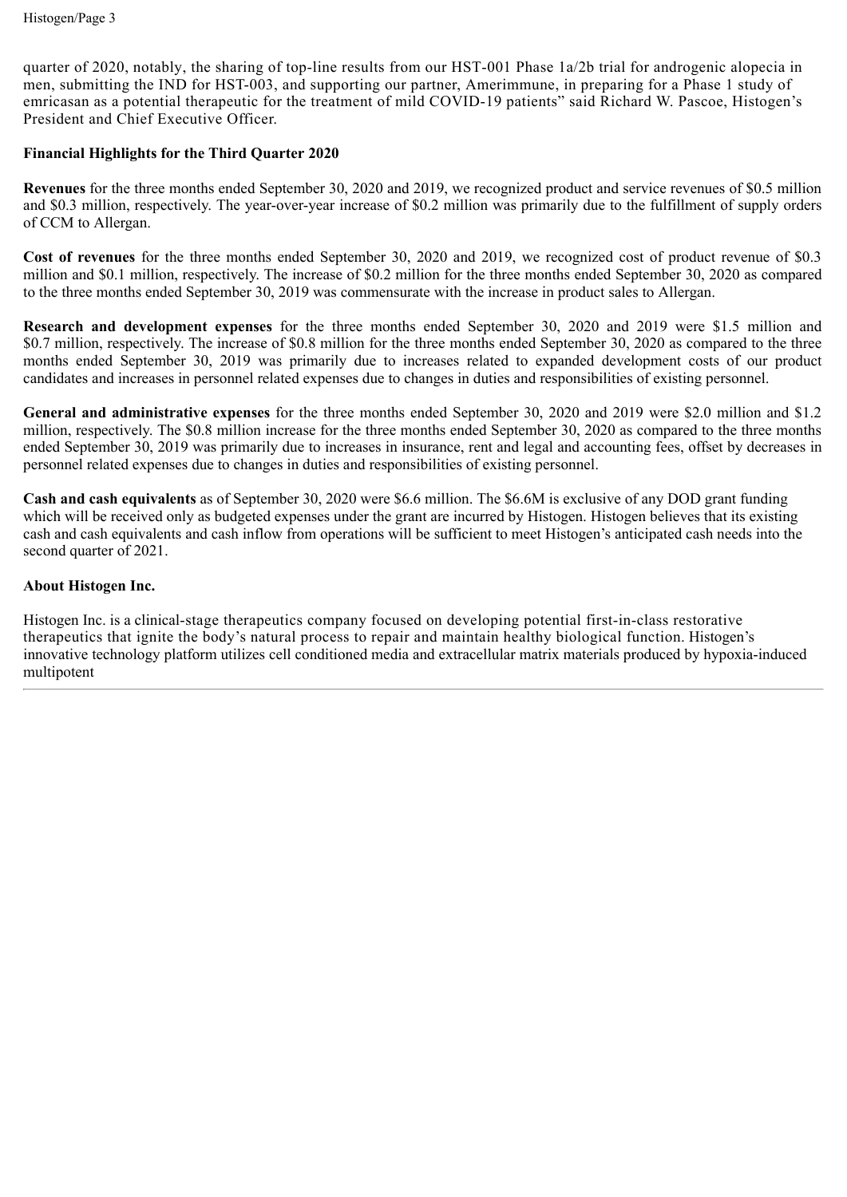quarter of 2020, notably, the sharing of top-line results from our HST-001 Phase 1a/2b trial for androgenic alopecia in men, submitting the IND for HST-003, and supporting our partner, Amerimmune, in preparing for a Phase 1 study of emricasan as a potential therapeutic for the treatment of mild COVID-19 patients" said Richard W. Pascoe, Histogen's President and Chief Executive Officer.

# **Financial Highlights for the Third Quarter 2020**

**Revenues** for the three months ended September 30, 2020 and 2019, we recognized product and service revenues of \$0.5 million and \$0.3 million, respectively. The year-over-year increase of \$0.2 million was primarily due to the fulfillment of supply orders of CCM to Allergan.

**Cost of revenues** for the three months ended September 30, 2020 and 2019, we recognized cost of product revenue of \$0.3 million and \$0.1 million, respectively. The increase of \$0.2 million for the three months ended September 30, 2020 as compared to the three months ended September 30, 2019 was commensurate with the increase in product sales to Allergan.

**Research and development expenses** for the three months ended September 30, 2020 and 2019 were \$1.5 million and \$0.7 million, respectively. The increase of \$0.8 million for the three months ended September 30, 2020 as compared to the three months ended September 30, 2019 was primarily due to increases related to expanded development costs of our product candidates and increases in personnel related expenses due to changes in duties and responsibilities of existing personnel.

**General and administrative expenses** for the three months ended September 30, 2020 and 2019 were \$2.0 million and \$1.2 million, respectively. The \$0.8 million increase for the three months ended September 30, 2020 as compared to the three months ended September 30, 2019 was primarily due to increases in insurance, rent and legal and accounting fees, offset by decreases in personnel related expenses due to changes in duties and responsibilities of existing personnel.

**Cash and cash equivalents** as of September 30, 2020 were \$6.6 million. The \$6.6M is exclusive of any DOD grant funding which will be received only as budgeted expenses under the grant are incurred by Histogen. Histogen believes that its existing cash and cash equivalents and cash inflow from operations will be sufficient to meet Histogen's anticipated cash needs into the second quarter of 2021.

# **About Histogen Inc.**

Histogen Inc. is a clinical-stage therapeutics company focused on developing potential first-in-class restorative therapeutics that ignite the body's natural process to repair and maintain healthy biological function. Histogen's innovative technology platform utilizes cell conditioned media and extracellular matrix materials produced by hypoxia-induced multipotent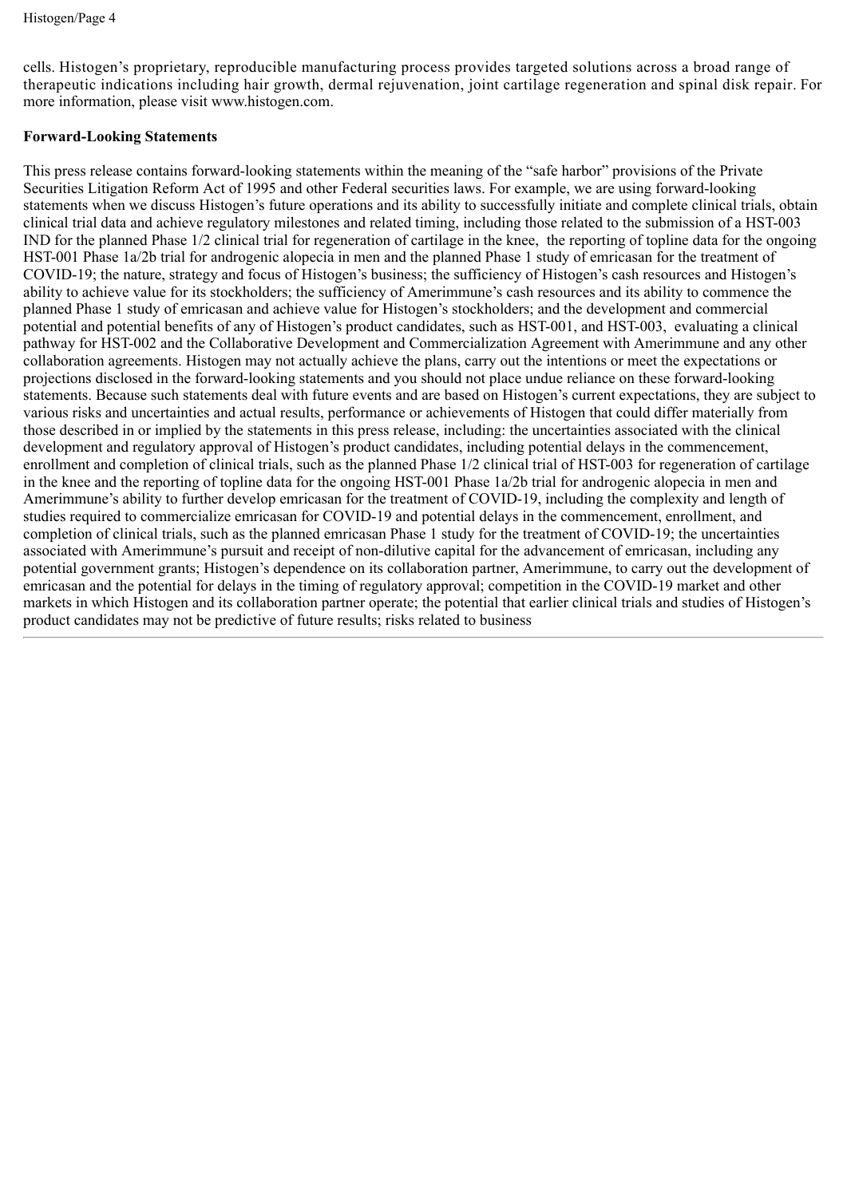cells. Histogen's proprietary, reproducible manufacturing process provides targeted solutions across a broad range of therapeutic indications including hair growth, dermal rejuvenation, joint cartilage regeneration and spinal disk repair. For more information, please visit www.histogen.com.

# **Forward-Looking Statements**

This press release contains forward-looking statements within the meaning of the "safe harbor" provisions of the Private Securities Litigation Reform Act of 1995 and other Federal securities laws. For example, we are using forward-looking statements when we discuss Histogen's future operations and its ability to successfully initiate and complete clinical trials, obtain clinical trial data and achieve regulatory milestones and related timing, including those related to the submission of a HST-003 IND for the planned Phase 1/2 clinical trial for regeneration of cartilage in the knee, the reporting of topline data for the ongoing HST-001 Phase 1a/2b trial for androgenic alopecia in men and the planned Phase 1 study of emricasan for the treatment of COVID-19; the nature, strategy and focus of Histogen's business; the sufficiency of Histogen's cash resources and Histogen's ability to achieve value for its stockholders; the sufficiency of Amerimmune's cash resources and its ability to commence the planned Phase 1 study of emricasan and achieve value for Histogen's stockholders; and the development and commercial potential and potential benefits of any of Histogen's product candidates, such as HST-001, and HST-003, evaluating a clinical pathway for HST-002 and the Collaborative Development and Commercialization Agreement with Amerimmune and any other collaboration agreements. Histogen may not actually achieve the plans, carry out the intentions or meet the expectations or projections disclosed in the forward-looking statements and you should not place undue reliance on these forward-looking statements. Because such statements deal with future events and are based on Histogen's current expectations, they are subject to various risks and uncertainties and actual results, performance or achievements of Histogen that could differ materially from those described in or implied by the statements in this press release, including: the uncertainties associated with the clinical development and regulatory approval of Histogen's product candidates, including potential delays in the commencement, enrollment and completion of clinical trials, such as the planned Phase 1/2 clinical trial of HST-003 for regeneration of cartilage in the knee and the reporting of topline data for the ongoing HST-001 Phase 1a/2b trial for androgenic alopecia in men and Amerimmune's ability to further develop emricasan for the treatment of COVID-19, including the complexity and length of studies required to commercialize emricasan for COVID-19 and potential delays in the commencement, enrollment, and completion of clinical trials, such as the planned emricasan Phase 1 study for the treatment of COVID-19; the uncertainties associated with Amerimmune's pursuit and receipt of non-dilutive capital for the advancement of emricasan, including any potential government grants; Histogen's dependence on its collaboration partner, Amerimmune, to carry out the development of emricasan and the potential for delays in the timing of regulatory approval; competition in the COVID-19 market and other markets in which Histogen and its collaboration partner operate; the potential that earlier clinical trials and studies of Histogen's product candidates may not be predictive of future results; risks related to business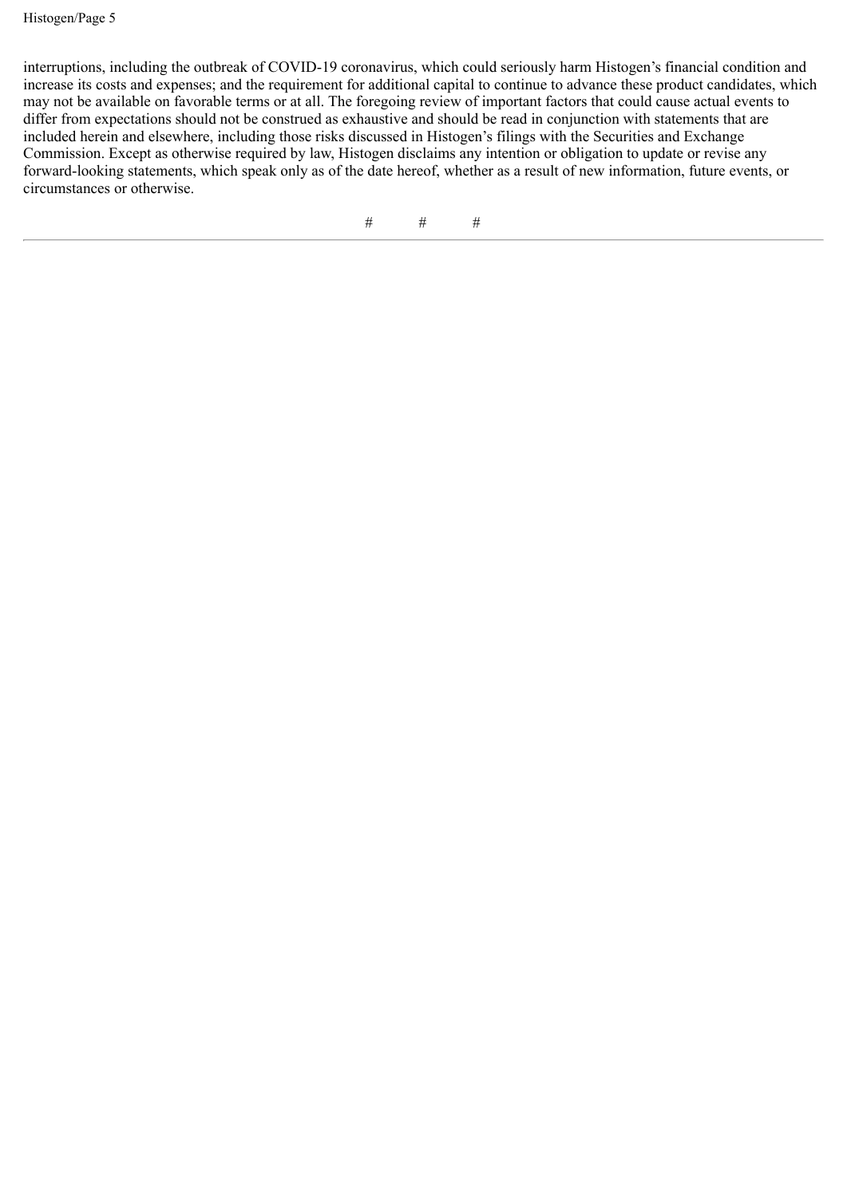Histogen/Page 5

interruptions, including the outbreak of COVID-19 coronavirus, which could seriously harm Histogen's financial condition and increase its costs and expenses; and the requirement for additional capital to continue to advance these product candidates, which may not be available on favorable terms or at all. The foregoing review of important factors that could cause actual events to differ from expectations should not be construed as exhaustive and should be read in conjunction with statements that are included herein and elsewhere, including those risks discussed in Histogen's filings with the Securities and Exchange Commission. Except as otherwise required by law, Histogen disclaims any intention or obligation to update or revise any forward-looking statements, which speak only as of the date hereof, whether as a result of new information, future events, or circumstances or otherwise.

# # #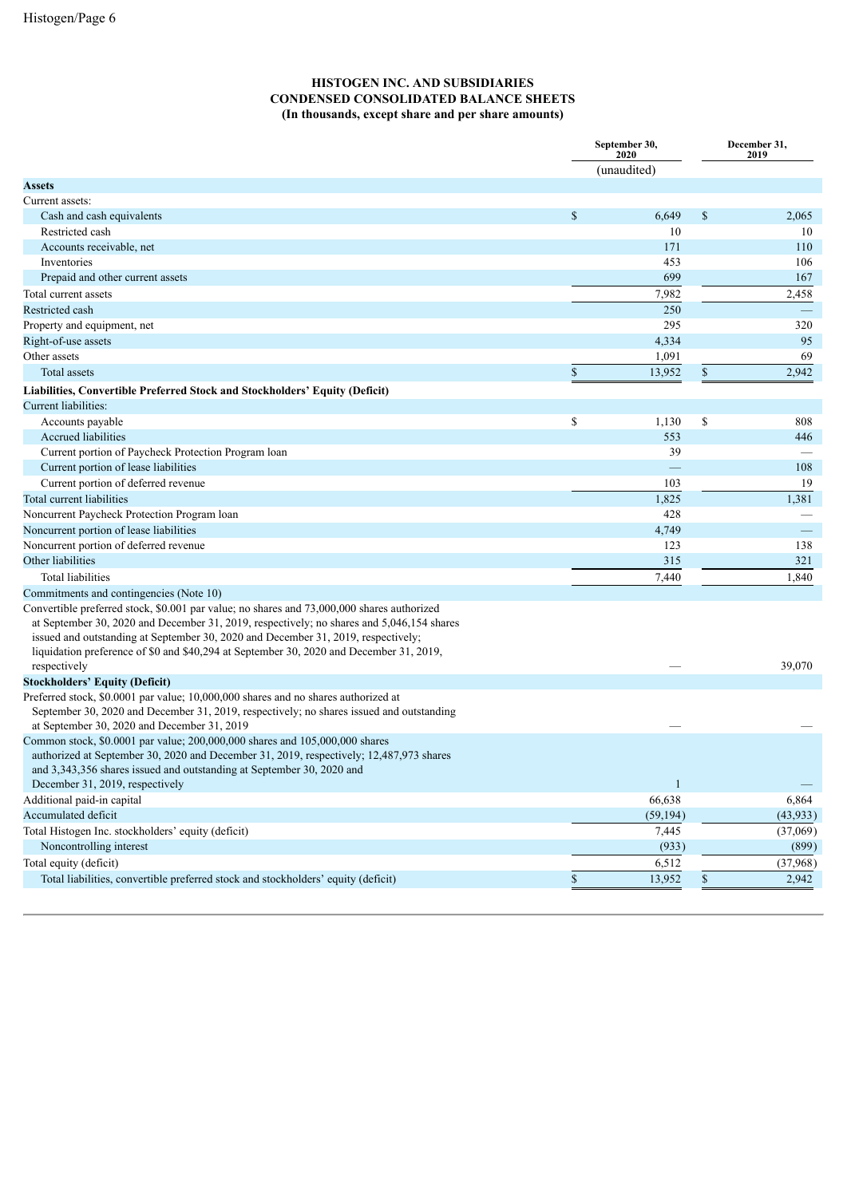### **HISTOGEN INC. AND SUBSIDIARIES CONDENSED CONSOLIDATED BALANCE SHEETS (In thousands, except share and per share amounts)**

|                                                                                                                                                                                                                                                                                                                                                                                         | September 30,<br>2020 | December 31,<br>2019 |           |  |
|-----------------------------------------------------------------------------------------------------------------------------------------------------------------------------------------------------------------------------------------------------------------------------------------------------------------------------------------------------------------------------------------|-----------------------|----------------------|-----------|--|
|                                                                                                                                                                                                                                                                                                                                                                                         | (unaudited)           |                      |           |  |
| <b>Assets</b>                                                                                                                                                                                                                                                                                                                                                                           |                       |                      |           |  |
| Current assets:                                                                                                                                                                                                                                                                                                                                                                         |                       |                      |           |  |
| Cash and cash equivalents                                                                                                                                                                                                                                                                                                                                                               | \$<br>6,649           | \$                   | 2,065     |  |
| Restricted cash                                                                                                                                                                                                                                                                                                                                                                         | 10                    |                      | 10        |  |
| Accounts receivable, net                                                                                                                                                                                                                                                                                                                                                                | 171                   |                      | 110       |  |
| Inventories                                                                                                                                                                                                                                                                                                                                                                             | 453                   |                      | 106       |  |
| Prepaid and other current assets                                                                                                                                                                                                                                                                                                                                                        | 699                   |                      | 167       |  |
| Total current assets                                                                                                                                                                                                                                                                                                                                                                    | 7,982                 |                      | 2,458     |  |
| Restricted cash                                                                                                                                                                                                                                                                                                                                                                         | 250                   |                      |           |  |
| Property and equipment, net                                                                                                                                                                                                                                                                                                                                                             | 295                   |                      | 320       |  |
| Right-of-use assets                                                                                                                                                                                                                                                                                                                                                                     | 4,334                 |                      | 95        |  |
| Other assets                                                                                                                                                                                                                                                                                                                                                                            | 1,091                 |                      | 69        |  |
| Total assets                                                                                                                                                                                                                                                                                                                                                                            | \$<br>13,952          | \$                   | 2,942     |  |
| Liabilities, Convertible Preferred Stock and Stockholders' Equity (Deficit)                                                                                                                                                                                                                                                                                                             |                       |                      |           |  |
| Current liabilities:                                                                                                                                                                                                                                                                                                                                                                    |                       |                      |           |  |
| Accounts payable                                                                                                                                                                                                                                                                                                                                                                        | \$<br>1,130           | \$                   | 808       |  |
| Accrued liabilities                                                                                                                                                                                                                                                                                                                                                                     | 553                   |                      | 446       |  |
| Current portion of Paycheck Protection Program loan                                                                                                                                                                                                                                                                                                                                     | 39                    |                      |           |  |
| Current portion of lease liabilities                                                                                                                                                                                                                                                                                                                                                    |                       |                      | 108       |  |
| Current portion of deferred revenue                                                                                                                                                                                                                                                                                                                                                     | 103                   |                      | 19        |  |
| Total current liabilities                                                                                                                                                                                                                                                                                                                                                               | 1,825                 |                      | 1,381     |  |
| Noncurrent Paycheck Protection Program Ioan                                                                                                                                                                                                                                                                                                                                             | 428                   |                      |           |  |
| Noncurrent portion of lease liabilities                                                                                                                                                                                                                                                                                                                                                 | 4,749                 |                      |           |  |
| Noncurrent portion of deferred revenue                                                                                                                                                                                                                                                                                                                                                  | 123                   |                      | 138       |  |
| Other liabilities                                                                                                                                                                                                                                                                                                                                                                       | 315                   |                      | 321       |  |
| Total liabilities                                                                                                                                                                                                                                                                                                                                                                       | 7,440                 |                      | 1,840     |  |
| Commitments and contingencies (Note 10)                                                                                                                                                                                                                                                                                                                                                 |                       |                      |           |  |
| Convertible preferred stock, \$0.001 par value; no shares and 73,000,000 shares authorized<br>at September 30, 2020 and December 31, 2019, respectively; no shares and 5,046,154 shares<br>issued and outstanding at September 30, 2020 and December 31, 2019, respectively;<br>liquidation preference of \$0 and \$40,294 at September 30, 2020 and December 31, 2019,<br>respectively |                       |                      | 39,070    |  |
| <b>Stockholders' Equity (Deficit)</b>                                                                                                                                                                                                                                                                                                                                                   |                       |                      |           |  |
| Preferred stock, \$0.0001 par value; 10,000,000 shares and no shares authorized at<br>September 30, 2020 and December 31, 2019, respectively; no shares issued and outstanding<br>at September 30, 2020 and December 31, 2019                                                                                                                                                           |                       |                      |           |  |
| Common stock, \$0.0001 par value; 200,000,000 shares and 105,000,000 shares<br>authorized at September 30, 2020 and December 31, 2019, respectively; 12,487,973 shares<br>and 3,343,356 shares issued and outstanding at September 30, 2020 and<br>December 31, 2019, respectively                                                                                                      | $\mathbf{1}$          |                      |           |  |
| Additional paid-in capital                                                                                                                                                                                                                                                                                                                                                              | 66,638                |                      | 6,864     |  |
| Accumulated deficit                                                                                                                                                                                                                                                                                                                                                                     | (59, 194)             |                      | (43, 933) |  |
| Total Histogen Inc. stockholders' equity (deficit)                                                                                                                                                                                                                                                                                                                                      | 7,445                 |                      | (37,069)  |  |
| Noncontrolling interest                                                                                                                                                                                                                                                                                                                                                                 | (933)                 |                      | (899)     |  |
| Total equity (deficit)                                                                                                                                                                                                                                                                                                                                                                  | 6,512                 |                      | (37,968)  |  |
| Total liabilities, convertible preferred stock and stockholders' equity (deficit)                                                                                                                                                                                                                                                                                                       | \$<br>13,952          | $\mathbb S$          | 2,942     |  |
|                                                                                                                                                                                                                                                                                                                                                                                         |                       |                      |           |  |